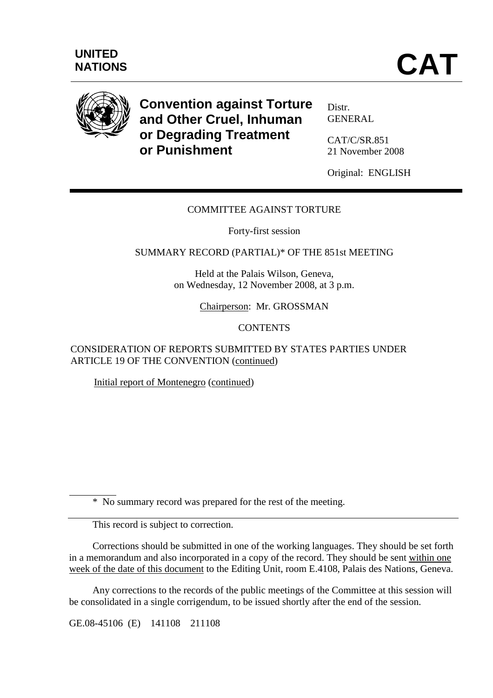

**Convention against Torture and Other Cruel, Inhuman or Degrading Treatment or Punishment** 

Distr. GENERAL

CAT/C/SR.851 21 November 2008

Original: ENGLISH

## COMMITTEE AGAINST TORTURE

Forty-first session

SUMMARY RECORD (PARTIAL)\* OF THE 851st MEETING

Held at the Palais Wilson, Geneva, on Wednesday, 12 November 2008, at 3 p.m.

Chairperson: Mr. GROSSMAN

## **CONTENTS**

CONSIDERATION OF REPORTS SUBMITTED BY STATES PARTIES UNDER ARTICLE 19 OF THE CONVENTION (continued)

Initial report of Montenegro (continued)

\* No summary record was prepared for the rest of the meeting.

This record is subject to correction.

 $\overline{a}$ 

 Corrections should be submitted in one of the working languages. They should be set forth in a memorandum and also incorporated in a copy of the record. They should be sent within one week of the date of this document to the Editing Unit, room E.4108, Palais des Nations, Geneva.

 Any corrections to the records of the public meetings of the Committee at this session will be consolidated in a single corrigendum, to be issued shortly after the end of the session.

GE.08-45106 (E) 141108 211108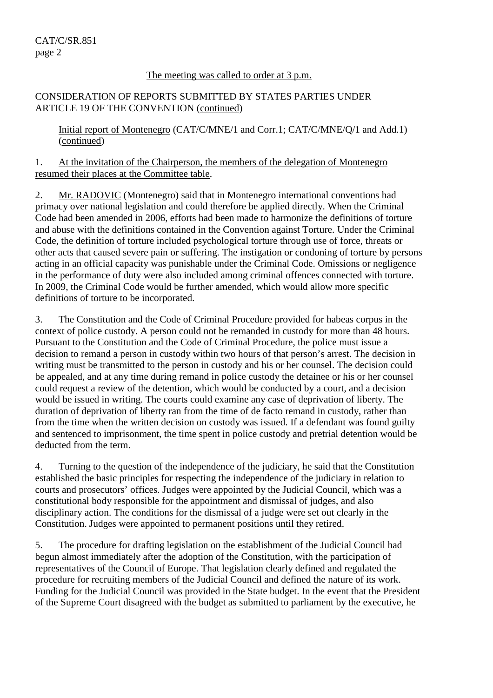## The meeting was called to order at 3 p.m.

## CONSIDERATION OF REPORTS SUBMITTED BY STATES PARTIES UNDER ARTICLE 19 OF THE CONVENTION (continued)

Initial report of Montenegro (CAT/C/MNE/1 and Corr.1; CAT/C/MNE/Q/1 and Add.1) (continued)

1. At the invitation of the Chairperson, the members of the delegation of Montenegro resumed their places at the Committee table.

2. Mr. RADOVIC (Montenegro) said that in Montenegro international conventions had primacy over national legislation and could therefore be applied directly. When the Criminal Code had been amended in 2006, efforts had been made to harmonize the definitions of torture and abuse with the definitions contained in the Convention against Torture. Under the Criminal Code, the definition of torture included psychological torture through use of force, threats or other acts that caused severe pain or suffering. The instigation or condoning of torture by persons acting in an official capacity was punishable under the Criminal Code. Omissions or negligence in the performance of duty were also included among criminal offences connected with torture. In 2009, the Criminal Code would be further amended, which would allow more specific definitions of torture to be incorporated.

3. The Constitution and the Code of Criminal Procedure provided for habeas corpus in the context of police custody. A person could not be remanded in custody for more than 48 hours. Pursuant to the Constitution and the Code of Criminal Procedure, the police must issue a decision to remand a person in custody within two hours of that person's arrest. The decision in writing must be transmitted to the person in custody and his or her counsel. The decision could be appealed, and at any time during remand in police custody the detainee or his or her counsel could request a review of the detention, which would be conducted by a court, and a decision would be issued in writing. The courts could examine any case of deprivation of liberty. The duration of deprivation of liberty ran from the time of de facto remand in custody, rather than from the time when the written decision on custody was issued. If a defendant was found guilty and sentenced to imprisonment, the time spent in police custody and pretrial detention would be deducted from the term.

4. Turning to the question of the independence of the judiciary, he said that the Constitution established the basic principles for respecting the independence of the judiciary in relation to courts and prosecutors' offices. Judges were appointed by the Judicial Council, which was a constitutional body responsible for the appointment and dismissal of judges, and also disciplinary action. The conditions for the dismissal of a judge were set out clearly in the Constitution. Judges were appointed to permanent positions until they retired.

5. The procedure for drafting legislation on the establishment of the Judicial Council had begun almost immediately after the adoption of the Constitution, with the participation of representatives of the Council of Europe. That legislation clearly defined and regulated the procedure for recruiting members of the Judicial Council and defined the nature of its work. Funding for the Judicial Council was provided in the State budget. In the event that the President of the Supreme Court disagreed with the budget as submitted to parliament by the executive, he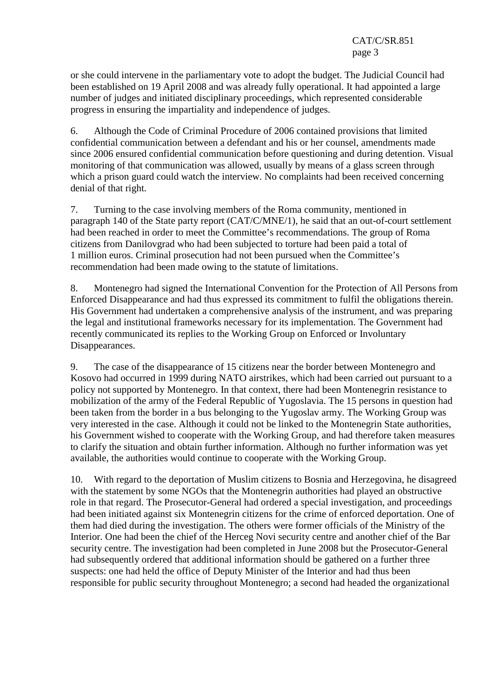or she could intervene in the parliamentary vote to adopt the budget. The Judicial Council had been established on 19 April 2008 and was already fully operational. It had appointed a large number of judges and initiated disciplinary proceedings, which represented considerable progress in ensuring the impartiality and independence of judges.

6. Although the Code of Criminal Procedure of 2006 contained provisions that limited confidential communication between a defendant and his or her counsel, amendments made since 2006 ensured confidential communication before questioning and during detention. Visual monitoring of that communication was allowed, usually by means of a glass screen through which a prison guard could watch the interview. No complaints had been received concerning denial of that right.

7. Turning to the case involving members of the Roma community, mentioned in paragraph 140 of the State party report (CAT/C/MNE/1), he said that an out-of-court settlement had been reached in order to meet the Committee's recommendations. The group of Roma citizens from Danilovgrad who had been subjected to torture had been paid a total of 1 million euros. Criminal prosecution had not been pursued when the Committee's recommendation had been made owing to the statute of limitations.

8. Montenegro had signed the International Convention for the Protection of All Persons from Enforced Disappearance and had thus expressed its commitment to fulfil the obligations therein. His Government had undertaken a comprehensive analysis of the instrument, and was preparing the legal and institutional frameworks necessary for its implementation. The Government had recently communicated its replies to the Working Group on Enforced or Involuntary Disappearances.

9. The case of the disappearance of 15 citizens near the border between Montenegro and Kosovo had occurred in 1999 during NATO airstrikes, which had been carried out pursuant to a policy not supported by Montenegro. In that context, there had been Montenegrin resistance to mobilization of the army of the Federal Republic of Yugoslavia. The 15 persons in question had been taken from the border in a bus belonging to the Yugoslav army. The Working Group was very interested in the case. Although it could not be linked to the Montenegrin State authorities, his Government wished to cooperate with the Working Group, and had therefore taken measures to clarify the situation and obtain further information. Although no further information was yet available, the authorities would continue to cooperate with the Working Group.

10. With regard to the deportation of Muslim citizens to Bosnia and Herzegovina, he disagreed with the statement by some NGOs that the Montenegrin authorities had played an obstructive role in that regard. The Prosecutor-General had ordered a special investigation, and proceedings had been initiated against six Montenegrin citizens for the crime of enforced deportation. One of them had died during the investigation. The others were former officials of the Ministry of the Interior. One had been the chief of the Herceg Novi security centre and another chief of the Bar security centre. The investigation had been completed in June 2008 but the Prosecutor-General had subsequently ordered that additional information should be gathered on a further three suspects: one had held the office of Deputy Minister of the Interior and had thus been responsible for public security throughout Montenegro; a second had headed the organizational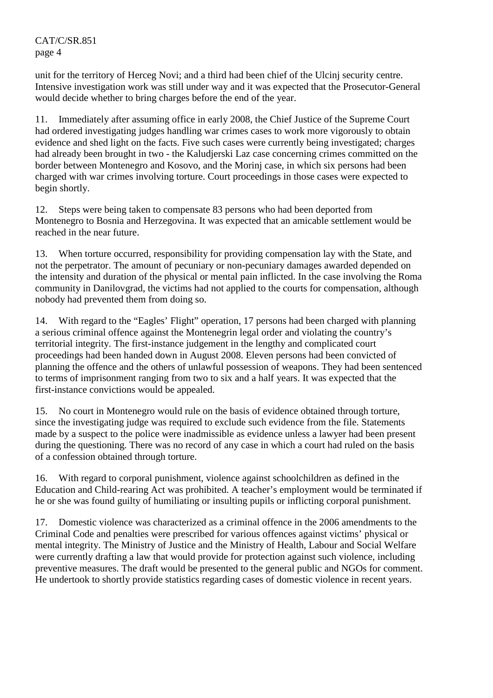unit for the territory of Herceg Novi; and a third had been chief of the Ulcinj security centre. Intensive investigation work was still under way and it was expected that the Prosecutor-General would decide whether to bring charges before the end of the year.

11. Immediately after assuming office in early 2008, the Chief Justice of the Supreme Court had ordered investigating judges handling war crimes cases to work more vigorously to obtain evidence and shed light on the facts. Five such cases were currently being investigated; charges had already been brought in two - the Kaludjerski Laz case concerning crimes committed on the border between Montenegro and Kosovo, and the Morinj case, in which six persons had been charged with war crimes involving torture. Court proceedings in those cases were expected to begin shortly.

12. Steps were being taken to compensate 83 persons who had been deported from Montenegro to Bosnia and Herzegovina. It was expected that an amicable settlement would be reached in the near future.

13. When torture occurred, responsibility for providing compensation lay with the State, and not the perpetrator. The amount of pecuniary or non-pecuniary damages awarded depended on the intensity and duration of the physical or mental pain inflicted. In the case involving the Roma community in Danilovgrad, the victims had not applied to the courts for compensation, although nobody had prevented them from doing so.

14. With regard to the "Eagles' Flight" operation, 17 persons had been charged with planning a serious criminal offence against the Montenegrin legal order and violating the country's territorial integrity. The first-instance judgement in the lengthy and complicated court proceedings had been handed down in August 2008. Eleven persons had been convicted of planning the offence and the others of unlawful possession of weapons. They had been sentenced to terms of imprisonment ranging from two to six and a half years. It was expected that the first-instance convictions would be appealed.

15. No court in Montenegro would rule on the basis of evidence obtained through torture, since the investigating judge was required to exclude such evidence from the file. Statements made by a suspect to the police were inadmissible as evidence unless a lawyer had been present during the questioning. There was no record of any case in which a court had ruled on the basis of a confession obtained through torture.

16. With regard to corporal punishment, violence against schoolchildren as defined in the Education and Child-rearing Act was prohibited. A teacher's employment would be terminated if he or she was found guilty of humiliating or insulting pupils or inflicting corporal punishment.

17. Domestic violence was characterized as a criminal offence in the 2006 amendments to the Criminal Code and penalties were prescribed for various offences against victims' physical or mental integrity. The Ministry of Justice and the Ministry of Health, Labour and Social Welfare were currently drafting a law that would provide for protection against such violence, including preventive measures. The draft would be presented to the general public and NGOs for comment. He undertook to shortly provide statistics regarding cases of domestic violence in recent years.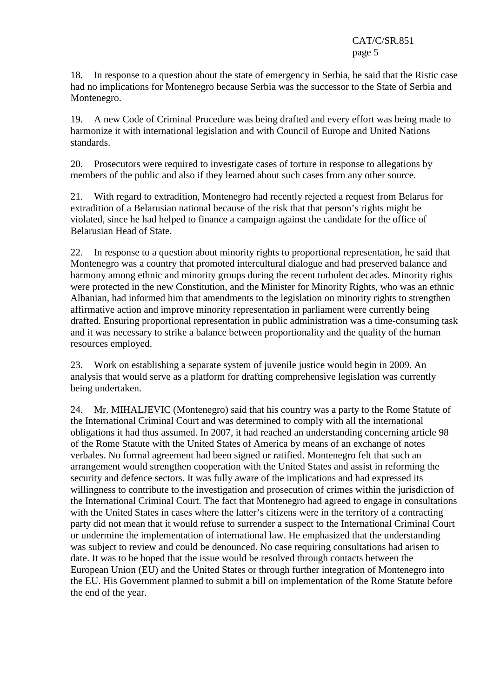18. In response to a question about the state of emergency in Serbia, he said that the Ristic case had no implications for Montenegro because Serbia was the successor to the State of Serbia and Montenegro.

19. A new Code of Criminal Procedure was being drafted and every effort was being made to harmonize it with international legislation and with Council of Europe and United Nations standards.

20. Prosecutors were required to investigate cases of torture in response to allegations by members of the public and also if they learned about such cases from any other source.

21. With regard to extradition, Montenegro had recently rejected a request from Belarus for extradition of a Belarusian national because of the risk that that person's rights might be violated, since he had helped to finance a campaign against the candidate for the office of Belarusian Head of State.

22. In response to a question about minority rights to proportional representation, he said that Montenegro was a country that promoted intercultural dialogue and had preserved balance and harmony among ethnic and minority groups during the recent turbulent decades. Minority rights were protected in the new Constitution, and the Minister for Minority Rights, who was an ethnic Albanian, had informed him that amendments to the legislation on minority rights to strengthen affirmative action and improve minority representation in parliament were currently being drafted. Ensuring proportional representation in public administration was a time-consuming task and it was necessary to strike a balance between proportionality and the quality of the human resources employed.

23. Work on establishing a separate system of juvenile justice would begin in 2009. An analysis that would serve as a platform for drafting comprehensive legislation was currently being undertaken.

24. Mr. MIHALJEVIC (Montenegro) said that his country was a party to the Rome Statute of the International Criminal Court and was determined to comply with all the international obligations it had thus assumed. In 2007, it had reached an understanding concerning article 98 of the Rome Statute with the United States of America by means of an exchange of notes verbales. No formal agreement had been signed or ratified. Montenegro felt that such an arrangement would strengthen cooperation with the United States and assist in reforming the security and defence sectors. It was fully aware of the implications and had expressed its willingness to contribute to the investigation and prosecution of crimes within the jurisdiction of the International Criminal Court. The fact that Montenegro had agreed to engage in consultations with the United States in cases where the latter's citizens were in the territory of a contracting party did not mean that it would refuse to surrender a suspect to the International Criminal Court or undermine the implementation of international law. He emphasized that the understanding was subject to review and could be denounced. No case requiring consultations had arisen to date. It was to be hoped that the issue would be resolved through contacts between the European Union (EU) and the United States or through further integration of Montenegro into the EU. His Government planned to submit a bill on implementation of the Rome Statute before the end of the year.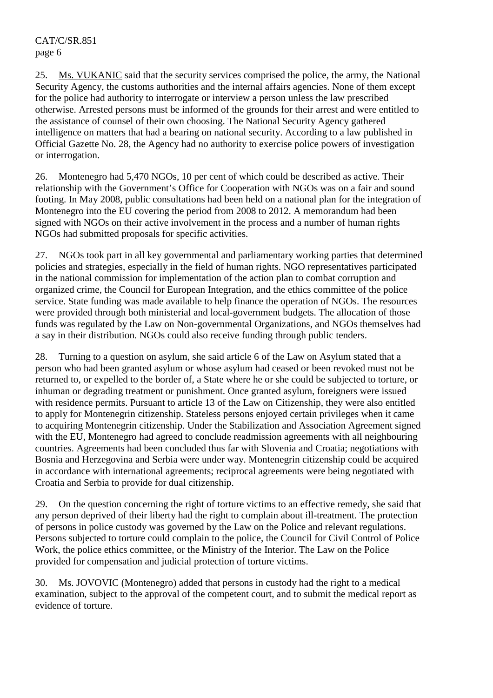25. Ms. VUKANIC said that the security services comprised the police, the army, the National Security Agency, the customs authorities and the internal affairs agencies. None of them except for the police had authority to interrogate or interview a person unless the law prescribed otherwise. Arrested persons must be informed of the grounds for their arrest and were entitled to the assistance of counsel of their own choosing. The National Security Agency gathered intelligence on matters that had a bearing on national security. According to a law published in Official Gazette No. 28, the Agency had no authority to exercise police powers of investigation or interrogation.

26. Montenegro had 5,470 NGOs, 10 per cent of which could be described as active. Their relationship with the Government's Office for Cooperation with NGOs was on a fair and sound footing. In May 2008, public consultations had been held on a national plan for the integration of Montenegro into the EU covering the period from 2008 to 2012. A memorandum had been signed with NGOs on their active involvement in the process and a number of human rights NGOs had submitted proposals for specific activities.

27. NGOs took part in all key governmental and parliamentary working parties that determined policies and strategies, especially in the field of human rights. NGO representatives participated in the national commission for implementation of the action plan to combat corruption and organized crime, the Council for European Integration, and the ethics committee of the police service. State funding was made available to help finance the operation of NGOs. The resources were provided through both ministerial and local-government budgets. The allocation of those funds was regulated by the Law on Non-governmental Organizations, and NGOs themselves had a say in their distribution. NGOs could also receive funding through public tenders.

28. Turning to a question on asylum, she said article 6 of the Law on Asylum stated that a person who had been granted asylum or whose asylum had ceased or been revoked must not be returned to, or expelled to the border of, a State where he or she could be subjected to torture, or inhuman or degrading treatment or punishment. Once granted asylum, foreigners were issued with residence permits. Pursuant to article 13 of the Law on Citizenship, they were also entitled to apply for Montenegrin citizenship. Stateless persons enjoyed certain privileges when it came to acquiring Montenegrin citizenship. Under the Stabilization and Association Agreement signed with the EU, Montenegro had agreed to conclude readmission agreements with all neighbouring countries. Agreements had been concluded thus far with Slovenia and Croatia; negotiations with Bosnia and Herzegovina and Serbia were under way. Montenegrin citizenship could be acquired in accordance with international agreements; reciprocal agreements were being negotiated with Croatia and Serbia to provide for dual citizenship.

29. On the question concerning the right of torture victims to an effective remedy, she said that any person deprived of their liberty had the right to complain about ill-treatment. The protection of persons in police custody was governed by the Law on the Police and relevant regulations. Persons subjected to torture could complain to the police, the Council for Civil Control of Police Work, the police ethics committee, or the Ministry of the Interior. The Law on the Police provided for compensation and judicial protection of torture victims.

30. Ms. JOVOVIC (Montenegro) added that persons in custody had the right to a medical examination, subject to the approval of the competent court, and to submit the medical report as evidence of torture.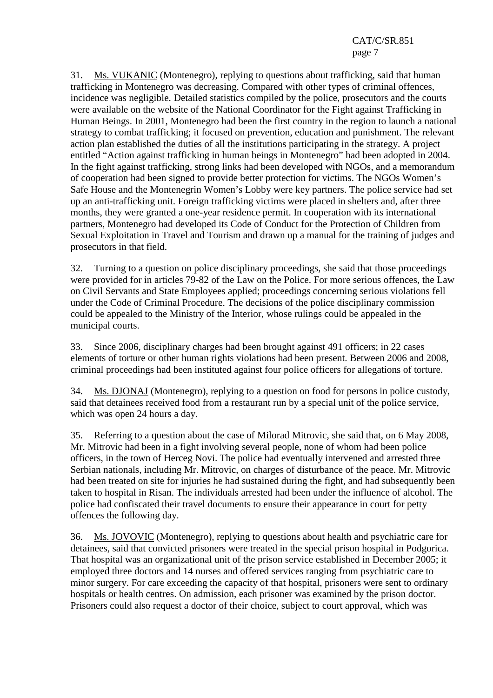31. Ms. VUKANIC (Montenegro), replying to questions about trafficking, said that human trafficking in Montenegro was decreasing. Compared with other types of criminal offences, incidence was negligible. Detailed statistics compiled by the police, prosecutors and the courts were available on the website of the National Coordinator for the Fight against Trafficking in Human Beings. In 2001, Montenegro had been the first country in the region to launch a national strategy to combat trafficking; it focused on prevention, education and punishment. The relevant action plan established the duties of all the institutions participating in the strategy. A project entitled "Action against trafficking in human beings in Montenegro" had been adopted in 2004. In the fight against trafficking, strong links had been developed with NGOs, and a memorandum of cooperation had been signed to provide better protection for victims. The NGOs Women's Safe House and the Montenegrin Women's Lobby were key partners. The police service had set up an anti-trafficking unit. Foreign trafficking victims were placed in shelters and, after three months, they were granted a one-year residence permit. In cooperation with its international partners, Montenegro had developed its Code of Conduct for the Protection of Children from Sexual Exploitation in Travel and Tourism and drawn up a manual for the training of judges and prosecutors in that field.

32. Turning to a question on police disciplinary proceedings, she said that those proceedings were provided for in articles 79-82 of the Law on the Police. For more serious offences, the Law on Civil Servants and State Employees applied; proceedings concerning serious violations fell under the Code of Criminal Procedure. The decisions of the police disciplinary commission could be appealed to the Ministry of the Interior, whose rulings could be appealed in the municipal courts.

33. Since 2006, disciplinary charges had been brought against 491 officers; in 22 cases elements of torture or other human rights violations had been present. Between 2006 and 2008, criminal proceedings had been instituted against four police officers for allegations of torture.

34. Ms. DJONAJ (Montenegro), replying to a question on food for persons in police custody, said that detainees received food from a restaurant run by a special unit of the police service, which was open 24 hours a day.

35. Referring to a question about the case of Milorad Mitrovic, she said that, on 6 May 2008, Mr. Mitrovic had been in a fight involving several people, none of whom had been police officers, in the town of Herceg Novi. The police had eventually intervened and arrested three Serbian nationals, including Mr. Mitrovic, on charges of disturbance of the peace. Mr. Mitrovic had been treated on site for injuries he had sustained during the fight, and had subsequently been taken to hospital in Risan. The individuals arrested had been under the influence of alcohol. The police had confiscated their travel documents to ensure their appearance in court for petty offences the following day.

36. Ms. JOVOVIC (Montenegro), replying to questions about health and psychiatric care for detainees, said that convicted prisoners were treated in the special prison hospital in Podgorica. That hospital was an organizational unit of the prison service established in December 2005; it employed three doctors and 14 nurses and offered services ranging from psychiatric care to minor surgery. For care exceeding the capacity of that hospital, prisoners were sent to ordinary hospitals or health centres. On admission, each prisoner was examined by the prison doctor. Prisoners could also request a doctor of their choice, subject to court approval, which was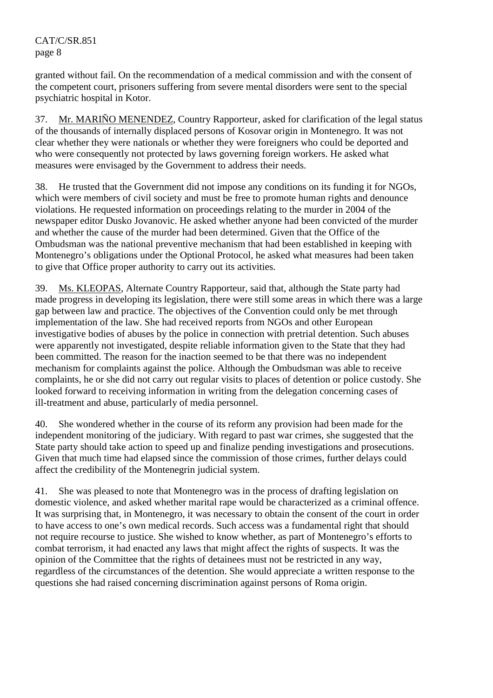granted without fail. On the recommendation of a medical commission and with the consent of the competent court, prisoners suffering from severe mental disorders were sent to the special psychiatric hospital in Kotor.

37. Mr. MARIÑO MENENDEZ, Country Rapporteur, asked for clarification of the legal status of the thousands of internally displaced persons of Kosovar origin in Montenegro. It was not clear whether they were nationals or whether they were foreigners who could be deported and who were consequently not protected by laws governing foreign workers. He asked what measures were envisaged by the Government to address their needs.

38. He trusted that the Government did not impose any conditions on its funding it for NGOs, which were members of civil society and must be free to promote human rights and denounce violations. He requested information on proceedings relating to the murder in 2004 of the newspaper editor Dusko Jovanovic. He asked whether anyone had been convicted of the murder and whether the cause of the murder had been determined. Given that the Office of the Ombudsman was the national preventive mechanism that had been established in keeping with Montenegro's obligations under the Optional Protocol, he asked what measures had been taken to give that Office proper authority to carry out its activities.

39. Ms. KLEOPAS, Alternate Country Rapporteur, said that, although the State party had made progress in developing its legislation, there were still some areas in which there was a large gap between law and practice. The objectives of the Convention could only be met through implementation of the law. She had received reports from NGOs and other European investigative bodies of abuses by the police in connection with pretrial detention. Such abuses were apparently not investigated, despite reliable information given to the State that they had been committed. The reason for the inaction seemed to be that there was no independent mechanism for complaints against the police. Although the Ombudsman was able to receive complaints, he or she did not carry out regular visits to places of detention or police custody. She looked forward to receiving information in writing from the delegation concerning cases of ill-treatment and abuse, particularly of media personnel.

40. She wondered whether in the course of its reform any provision had been made for the independent monitoring of the judiciary. With regard to past war crimes, she suggested that the State party should take action to speed up and finalize pending investigations and prosecutions. Given that much time had elapsed since the commission of those crimes, further delays could affect the credibility of the Montenegrin judicial system.

41. She was pleased to note that Montenegro was in the process of drafting legislation on domestic violence, and asked whether marital rape would be characterized as a criminal offence. It was surprising that, in Montenegro, it was necessary to obtain the consent of the court in order to have access to one's own medical records. Such access was a fundamental right that should not require recourse to justice. She wished to know whether, as part of Montenegro's efforts to combat terrorism, it had enacted any laws that might affect the rights of suspects. It was the opinion of the Committee that the rights of detainees must not be restricted in any way, regardless of the circumstances of the detention. She would appreciate a written response to the questions she had raised concerning discrimination against persons of Roma origin.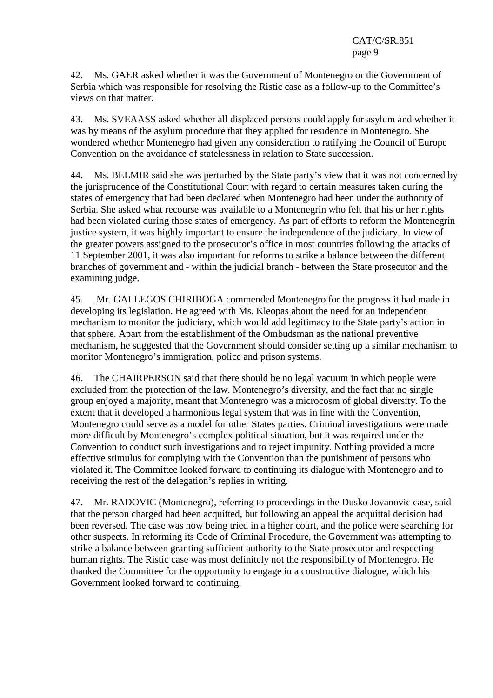42. Ms. GAER asked whether it was the Government of Montenegro or the Government of Serbia which was responsible for resolving the Ristic case as a follow-up to the Committee's views on that matter.

43. Ms. SVEAASS asked whether all displaced persons could apply for asylum and whether it was by means of the asylum procedure that they applied for residence in Montenegro. She wondered whether Montenegro had given any consideration to ratifying the Council of Europe Convention on the avoidance of statelessness in relation to State succession.

44. Ms. BELMIR said she was perturbed by the State party's view that it was not concerned by the jurisprudence of the Constitutional Court with regard to certain measures taken during the states of emergency that had been declared when Montenegro had been under the authority of Serbia. She asked what recourse was available to a Montenegrin who felt that his or her rights had been violated during those states of emergency. As part of efforts to reform the Montenegrin justice system, it was highly important to ensure the independence of the judiciary. In view of the greater powers assigned to the prosecutor's office in most countries following the attacks of 11 September 2001, it was also important for reforms to strike a balance between the different branches of government and - within the judicial branch - between the State prosecutor and the examining judge.

45. Mr. GALLEGOS CHIRIBOGA commended Montenegro for the progress it had made in developing its legislation. He agreed with Ms. Kleopas about the need for an independent mechanism to monitor the judiciary, which would add legitimacy to the State party's action in that sphere. Apart from the establishment of the Ombudsman as the national preventive mechanism, he suggested that the Government should consider setting up a similar mechanism to monitor Montenegro's immigration, police and prison systems.

46. The CHAIRPERSON said that there should be no legal vacuum in which people were excluded from the protection of the law. Montenegro's diversity, and the fact that no single group enjoyed a majority, meant that Montenegro was a microcosm of global diversity. To the extent that it developed a harmonious legal system that was in line with the Convention, Montenegro could serve as a model for other States parties. Criminal investigations were made more difficult by Montenegro's complex political situation, but it was required under the Convention to conduct such investigations and to reject impunity. Nothing provided a more effective stimulus for complying with the Convention than the punishment of persons who violated it. The Committee looked forward to continuing its dialogue with Montenegro and to receiving the rest of the delegation's replies in writing.

47. Mr. RADOVIC (Montenegro), referring to proceedings in the Dusko Jovanovic case, said that the person charged had been acquitted, but following an appeal the acquittal decision had been reversed. The case was now being tried in a higher court, and the police were searching for other suspects. In reforming its Code of Criminal Procedure, the Government was attempting to strike a balance between granting sufficient authority to the State prosecutor and respecting human rights. The Ristic case was most definitely not the responsibility of Montenegro. He thanked the Committee for the opportunity to engage in a constructive dialogue, which his Government looked forward to continuing.